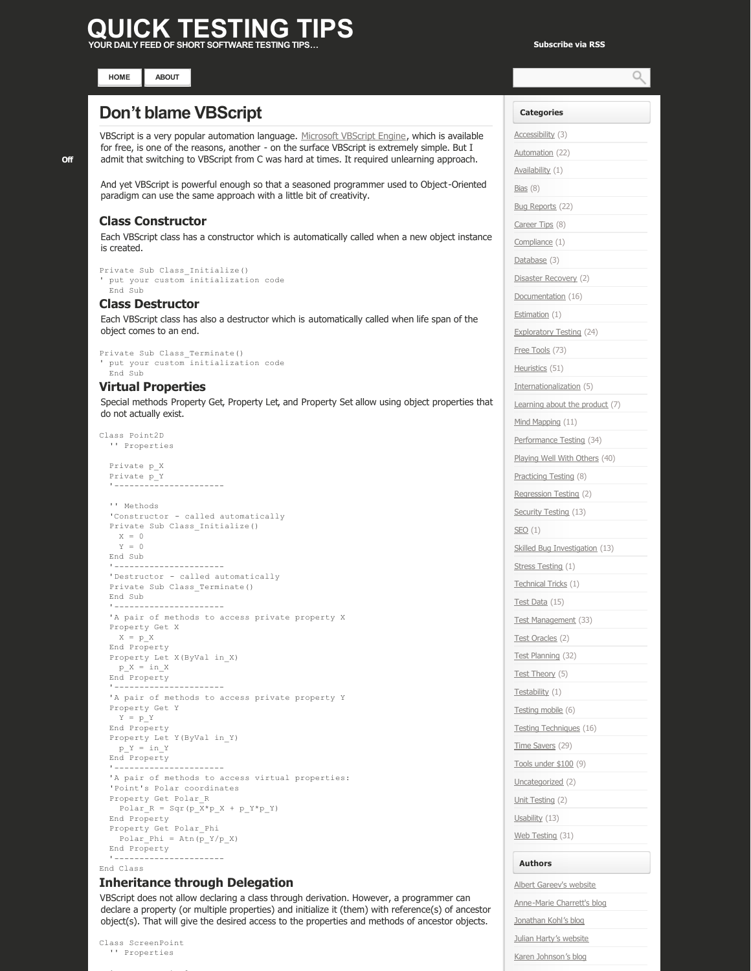# **QUICK TESTING TIPS YOUR DAILY FEED OF SHORT SOFTWARE TESTING TIPS… [Subscribe via RSS](http://www.quicktestingtips.com/tips/feed/)**

Ω



# **[Don't blame VBScript](http://www.quicktestingtips.com/tips/2010/10/dont-blame-vbscript/)**

VBScript is a very popular automation language. [Microsoft VBScript Engine,](http://msdn.microsoft.com/en-us/library/t0aew7h6.aspx) which is available for free, is one of the reasons, another - on the surface VBScript is extremely simple. But I admit that switching to VBScript from C was hard at times. It required unlearning approach.

And yet VBScript is powerful enough so that a seasoned programmer used to Object-Oriented paradigm can use the same approach with a little bit of creativity.

# **Class Constructor**

Each VBScript class has a constructor which is automatically called when a new object instance is created.

```
Private Sub Class_Initialize()
' put your custom initialization code
   End Sub
```
#### **Class Destructor**

Each VBScript class has also a destructor which is automatically called when life span of the object comes to an end.

```
Private Sub Class_Terminate()
' put your custom initialization code
   End Sub
```
# **Virtual Properties**

Special methods Property Get, Property Let, and Property Set allow using object properties that do not actually exist.

```
Class Point2D
    '' Properties
    Private p_X
    Private p_Y
''''-----------------------
    '' Methods
    'Constructor  called automatically
    Private Sub Class_Initialize()
   X = 0Y = 0  End Sub
    '
  'Destructor - called automatically
    Private Sub Class_Terminate()
    End Sub
    '
    'A pair of methods to access private property X
    Property Get X
   X = p_X  End Property
    Property Let X(ByVal in_X)
   p X = in X  End Property
''''-----------------------
  'A pair of methods to access private property Y
    Property Get Y
   Y = p Y  End Property
    Property Let Y(ByVal in_Y)
   p Y = in Y  End Property
''''------------------------
    'A pair of methods to access virtual properties:
    'Point's Polar coordinates
   Property Get Polar_R
   Polar_R = Sqr(p_X*p_X + p_Y*p_Y)  End Property
   Property Get Polar_Phi
   Polar_Phi = Atn(p_Y/p_X)  End Property
  ' -----------------------
```
## End Class

#### **Inheritance through Delegation**

VBScript does not allow declaring a class through derivation. However, a programmer can declare a property (or multiple properties) and initialize it (them) with reference(s) of ancestor object(s). That will give the desired access to the properties and methods of ancestor objects.

Class ScreenPoint '' Properties

'Ancestor Point2D and Point2D and Point2D and Point2D and Point2D and Point2D and Point2D and Point2D and Point2D

**Categories** [Accessibility](http://www.quicktestingtips.com/tips/category/accessibility/) (3) [Automation](http://www.quicktestingtips.com/tips/category/automation/) (22) [Availability](http://www.quicktestingtips.com/tips/category/availability/) (1) [Bias](http://www.quicktestingtips.com/tips/category/bias/) (8) [Bug Reports](http://www.quicktestingtips.com/tips/category/bug-reports/) (22) [Career Tips](http://www.quicktestingtips.com/tips/category/career-tips/) (8) [Compliance](http://www.quicktestingtips.com/tips/category/compliance/) (1) [Database](http://www.quicktestingtips.com/tips/category/database/) (3) [Disaster Recovery](http://www.quicktestingtips.com/tips/category/disaster-recovery/) (2) [Documentation](http://www.quicktestingtips.com/tips/category/documentation/) (16) [Estimation](http://www.quicktestingtips.com/tips/category/estimation/) (1) [Exploratory Testing](http://www.quicktestingtips.com/tips/category/exploratory-testing/) (24) [Free Tools](http://www.quicktestingtips.com/tips/category/free-tools/) (73) [Heuristics](http://www.quicktestingtips.com/tips/category/heuristics/) (51) [Internationalization](http://www.quicktestingtips.com/tips/category/internationalization/) (5) [Learning about the product](http://www.quicktestingtips.com/tips/category/learning-about-the-product/) (7) [Mind Mapping](http://www.quicktestingtips.com/tips/category/mind-mapping/) (11) [Performance Testing](http://www.quicktestingtips.com/tips/category/performance-testing/) (34) [Playing Well With Others](http://www.quicktestingtips.com/tips/category/playing-well-with-others/) (40) [Practicing Testing](http://www.quicktestingtips.com/tips/category/practicing-testing/) (8) [Regression Testing](http://www.quicktestingtips.com/tips/category/regression-testing/) (2) [Security Testing](http://www.quicktestingtips.com/tips/category/security-testing/) (13)  $SEO(1)$  $SEO(1)$ [Skilled Bug Investigation](http://www.quicktestingtips.com/tips/category/skilled-bug-investigation/) (13) [Stress Testing](http://www.quicktestingtips.com/tips/category/stress-testing/) (1) [Technical Tricks](http://www.quicktestingtips.com/tips/category/technical-tricks/) (1) [Test Data](http://www.quicktestingtips.com/tips/category/test-data/) (15) [Test Management](http://www.quicktestingtips.com/tips/category/test-management/) (33) [Test Oracles](http://www.quicktestingtips.com/tips/category/test-oracles/) (2) [Test Planning](http://www.quicktestingtips.com/tips/category/test-planning/) (32) [Test Theory](http://www.quicktestingtips.com/tips/category/test-theory/) (5) [Testability](http://www.quicktestingtips.com/tips/category/testability/) (1) [Testing mobile](http://www.quicktestingtips.com/tips/category/testing-mobile/) (6) [Testing Techniques](http://www.quicktestingtips.com/tips/category/testing-techniques/) (16) [Time Savers](http://www.quicktestingtips.com/tips/category/time-savers/) (29) [Tools under \\$100](http://www.quicktestingtips.com/tips/category/tools-under-100/) (9) [Uncategorized](http://www.quicktestingtips.com/tips/category/uncategorized/) (2) [Unit Testing](http://www.quicktestingtips.com/tips/category/unit-testing/) (2) [Usability](http://www.quicktestingtips.com/tips/category/usability/) (13) [Web Testing](http://www.quicktestingtips.com/tips/category/web-testing/) (31) **Authors** [Albert Gareev's website](http://automation-beyond.com/)

Anne-Marie Charrett's blog [Jonathan Kohl's blog](http://www.kohl.ca/blog/)

[Julian Harty's website](http://sites.google.com/a/julianharty.org/testing/Home)

[Karen Johnson's blog](http://www.testingreflections.com/blog/3804)

**[Off](http://www.quicktestingtips.com/tips/2010/10/dont-blame-vbscript/#comments)**